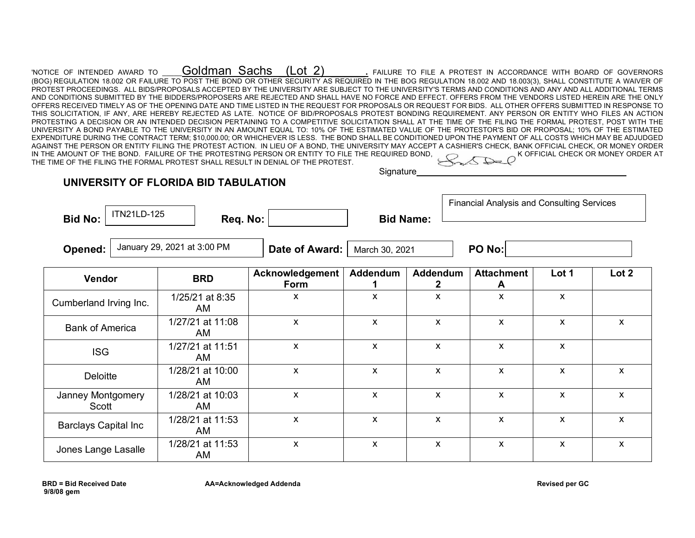| 'notice of intended award to $\,$ Goldman Sachs $\,$ (Lot 2) $\,$ . Failure to file a protest in accordance with board of governors                         |  |  |  |  |  |                                    |
|-------------------------------------------------------------------------------------------------------------------------------------------------------------|--|--|--|--|--|------------------------------------|
| (BOG) REGULATION 18.002 OR FAILURE TO POST THE BOND OR OTHER SECURITY AS REQUIRED IN THE BOG REGULATION 18.002 AND 18.003(3), SHALL CONSTITUTE A WAIVER OF  |  |  |  |  |  |                                    |
| PROTEST PROCEEDINGS. ALL BIDS/PROPOSALS ACCEPTED BY THE UNIVERSITY ARE SUBJECT TO THE UNIVERSITY'S TERMS AND CONDITIONS AND ANY AND ALL ADDITIONAL TERMS    |  |  |  |  |  |                                    |
| AND CONDITIONS SUBMITTED BY THE BIDDERS/PROPOSERS ARE REJECTED AND SHALL HAVE NO FORCE AND EFFECT. OFFERS FROM THE VENDORS LISTED HEREIN ARE THE ONLY       |  |  |  |  |  |                                    |
| OFFERS RECEIVED TIMELY AS OF THE OPENING DATE AND TIME LISTED IN THE REQUEST FOR PROPOSALS OR REQUEST FOR BIDS. ALL OTHER OFFERS SUBMITTED IN RESPONSE TO   |  |  |  |  |  |                                    |
| THIS SOLICITATION, IF ANY, ARE HEREBY REJECTED AS LATE. NOTICE OF BID/PROPOSALS PROTEST BONDING REQUIREMENT. ANY PERSON OR ENTITY WHO FILES AN ACTION       |  |  |  |  |  |                                    |
| PROTESTING A DECISION OR AN INTENDED DECISION PERTAINING TO A COMPETITIVE SOLICITATION SHALL AT THE TIME OF THE FILING THE FORMAL PROTEST. POST WITH THE    |  |  |  |  |  |                                    |
| UNIVERSITY A BOND PAYABLE TO THE UNIVERSITY IN AN AMOUNT EQUAL TO: 10% OF THE ESTIMATED VALUE OF THE PROTESTOR'S BID OR PROPOSAL; 10% OF THE ESTIMATED      |  |  |  |  |  |                                    |
| EXPENDITURE DURING THE CONTRACT TERM: \$10.000.00: OR WHICHEVER IS LESS. THE BOND SHALL BE CONDITIONED UPON THE PAYMENT OF ALL COSTS WHICH MAY BE ADJUDGED  |  |  |  |  |  |                                    |
| AGAINST THE PERSON OR ENTITY FILING THE PROTEST ACTION. IN LIEU OF A BOND. THE UNIVERSITY MAY ACCEPT A CASHIER'S CHECK. BANK OFFICIAL CHECK. OR MONEY ORDER |  |  |  |  |  |                                    |
| IN THE AMOUNT OF THE BOND. FAILURE OF THE PROTESTING PERSON OR ENTITY TO FILE THE REQUIRED BOND.                                                            |  |  |  |  |  | K OFFICIAL CHECK OR MONEY ORDER AT |
| THE TIME OF THE FILING THE FORMAL PROTEST SHALL RESULT IN DENIAL OF THE PROTEST.                                                                            |  |  |  |  |  |                                    |
|                                                                                                                                                             |  |  |  |  |  |                                    |

Signature\_

ா

## **UNIVERSITY OF FLORIDA BID TABULATION**

|                |             |          |                  | <b>Financial Analysis and Consulting Services</b> |
|----------------|-------------|----------|------------------|---------------------------------------------------|
| <b>Bid No:</b> | ITN21LD-125 | Req. No: | <b>Bid Name:</b> |                                                   |
|                |             |          |                  |                                                   |

**Opened:**  $\begin{bmatrix}$  January 29, 2021 at 3:00 PM  $\end{bmatrix}$  **Date of Award:** March 30, 2021  $\begin{bmatrix}$  **PO No:** 

| <b>Vendor</b>               | <b>BRD</b>              | Acknowledgement<br>Form | <b>Addendum</b> | <b>Addendum</b> | <b>Attachment</b><br>A | Lot 1 | Lot 2 |
|-----------------------------|-------------------------|-------------------------|-----------------|-----------------|------------------------|-------|-------|
| Cumberland Irving Inc.      | 1/25/21 at 8:35<br>AM   | X                       | X               | X               | X                      | X     |       |
| <b>Bank of America</b>      | 1/27/21 at 11:08<br>AM  | X                       | X               | X               | $\mathsf{x}$           | X     | X     |
| <b>ISG</b>                  | 1/27/21 at 11:51<br>AM. | X                       | X               | X               | X                      | X     |       |
| <b>Deloitte</b>             | 1/28/21 at 10:00<br>AM  | X                       | X               | X               | X.                     | X     | X     |
| Janney Montgomery<br>Scott  | 1/28/21 at 10:03<br>AM. | X                       | X               | X               | X                      | X     | X     |
| <b>Barclays Capital Inc</b> | 1/28/21 at 11:53<br>AM  | X                       | X               | X               | $\mathsf{x}$           | X     | X     |
| Jones Lange Lasalle         | 1/28/21 at 11:53<br>AM  | X                       | X               | X               | $\mathsf{x}$           | X     | X     |

**9/8/08 gem**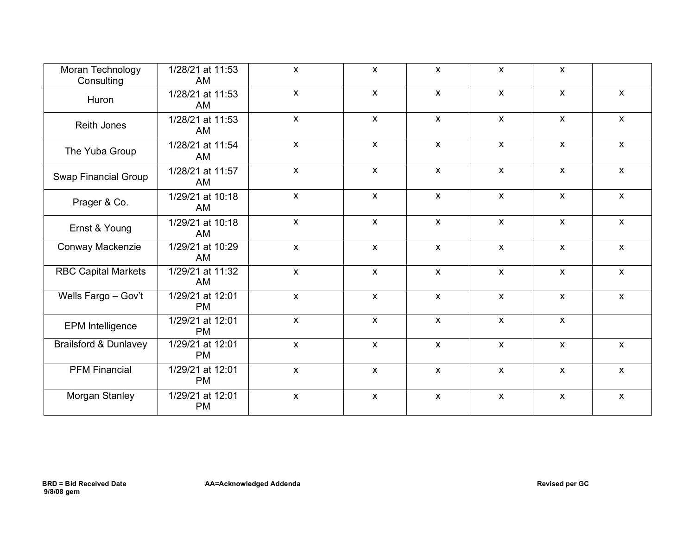| Moran Technology<br>Consulting   | 1/28/21 at 11:53<br>AM        | $\mathsf{X}$ | $\mathsf{x}$              | $\mathsf{X}$       | $\mathsf{X}$ | $\mathsf{X}$       |                           |
|----------------------------------|-------------------------------|--------------|---------------------------|--------------------|--------------|--------------------|---------------------------|
| Huron                            | 1/28/21 at 11:53<br>AM        | $\mathsf{X}$ | $\boldsymbol{\mathsf{X}}$ | $\mathsf{X}$       | $\mathsf{X}$ | $\mathsf{X}$       | $\mathsf{x}$              |
| <b>Reith Jones</b>               | 1/28/21 at 11:53<br>AM        | $\mathsf{X}$ | $\mathsf{x}$              | $\pmb{\mathsf{X}}$ | $\mathsf{X}$ | $\mathsf{X}$       | $\mathsf{x}$              |
| The Yuba Group                   | 1/28/21 at 11:54<br>AM        | $\mathsf{X}$ | $\mathsf{X}$              | $\mathsf{X}$       | $\mathsf{X}$ | $\mathsf{X}$       | $\mathsf{x}$              |
| <b>Swap Financial Group</b>      | 1/28/21 at 11:57<br>AM        | $\mathsf{X}$ | $\mathsf{x}$              | $\mathsf{X}$       | $\mathsf{X}$ | $\mathsf{X}$       | $\mathsf{X}$              |
| Prager & Co.                     | 1/29/21 at 10:18<br>AM        | $\mathsf{X}$ | $\boldsymbol{\mathsf{X}}$ | $\mathsf{x}$       | $\mathsf{x}$ | $\mathsf{X}$       | $\boldsymbol{\mathsf{x}}$ |
| Ernst & Young                    | 1/29/21 at 10:18<br>AM        | $\mathsf{X}$ | $\pmb{\chi}$              | $\pmb{\mathsf{X}}$ | $\mathsf{X}$ | $\mathsf{x}$       | $\mathsf{X}$              |
| Conway Mackenzie                 | 1/29/21 at 10:29<br>AM        | $\mathsf{X}$ | $\mathsf{X}$              | $\pmb{\mathsf{X}}$ | $\mathsf{X}$ | $\mathsf{x}$       | $\mathsf{x}$              |
| <b>RBC Capital Markets</b>       | 1/29/21 at 11:32<br>AM        | $\mathsf{X}$ | $\mathsf{x}$              | $\mathsf{X}$       | $\mathsf{X}$ | $\mathsf{X}$       | $\boldsymbol{\mathsf{x}}$ |
| Wells Fargo - Gov't              | 1/29/21 at 12:01<br><b>PM</b> | $\mathsf{X}$ | $\mathsf{x}$              | $\mathsf{X}$       | $\mathsf{X}$ | $\mathsf{X}$       | $\boldsymbol{\mathsf{x}}$ |
| <b>EPM</b> Intelligence          | 1/29/21 at 12:01<br><b>PM</b> | $\mathsf{X}$ | $\mathsf{x}$              | $\mathsf{X}$       | $\mathsf{X}$ | $\mathsf{x}$       |                           |
| <b>Brailsford &amp; Dunlavey</b> | 1/29/21 at 12:01<br><b>PM</b> | $\mathsf{X}$ | $\pmb{\chi}$              | $\pmb{\mathsf{X}}$ | $\mathsf{X}$ | $\pmb{\mathsf{X}}$ | $\mathsf{x}$              |
| <b>PFM Financial</b>             | 1/29/21 at 12:01<br><b>PM</b> | $\mathsf{X}$ | $\boldsymbol{\mathsf{X}}$ | $\pmb{\mathsf{X}}$ | $\mathsf{X}$ | $\mathsf{X}$       | $\mathsf{X}$              |
| Morgan Stanley                   | 1/29/21 at 12:01<br><b>PM</b> | $\mathsf{X}$ | $\boldsymbol{\mathsf{X}}$ | $\mathsf{X}$       | $\mathsf{X}$ | $\mathsf{X}$       | $\mathsf{x}$              |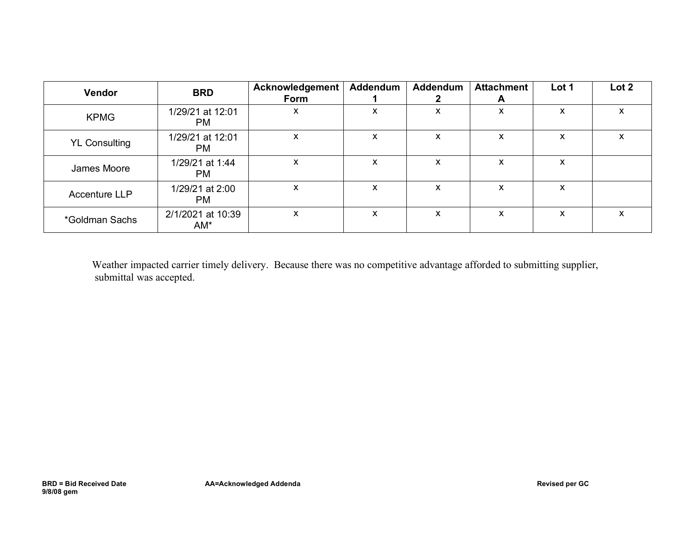| Vendor               | <b>BRD</b>                    | Acknowledgement<br>Form | Addendum | Addendum | <b>Attachment</b><br>A | Lot 1 | Lot 2     |
|----------------------|-------------------------------|-------------------------|----------|----------|------------------------|-------|-----------|
| <b>KPMG</b>          | 1/29/21 at 12:01<br><b>PM</b> | x                       | X        | X        | X                      | X     | x         |
| <b>YL Consulting</b> | 1/29/21 at 12:01<br>PM.       | X                       | X        | X        | x                      | X     | $\lambda$ |
| James Moore          | 1/29/21 at 1:44<br>PM.        | X                       | X        | X        | X                      | X     |           |
| <b>Accenture LLP</b> | 1/29/21 at 2:00<br>PM.        | X                       | X        | X        | x                      | X     |           |
| *Goldman Sachs       | 2/1/2021 at 10:39<br>$AM^*$   | X                       | X        | X        | x                      | X     | $\lambda$ |

 Weather impacted carrier timely delivery. Because there was no competitive advantage afforded to submitting supplier, submittal was accepted.